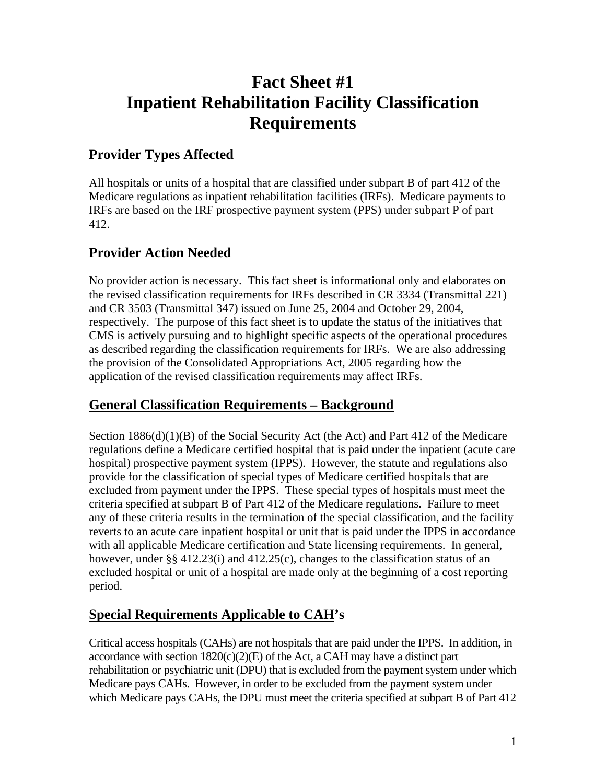# **Fact Sheet #1 Inpatient Rehabilitation Facility Classification Requirements**

# **Provider Types Affected**

All hospitals or units of a hospital that are classified under subpart B of part 412 of the Medicare regulations as inpatient rehabilitation facilities (IRFs). Medicare payments to IRFs are based on the IRF prospective payment system (PPS) under subpart P of part 412.

# **Provider Action Needed**

No provider action is necessary. This fact sheet is informational only and elaborates on the revised classification requirements for IRFs described in CR 3334 (Transmittal 221) and CR 3503 (Transmittal 347) issued on June 25, 2004 and October 29, 2004, respectively. The purpose of this fact sheet is to update the status of the initiatives that CMS is actively pursuing and to highlight specific aspects of the operational procedures as described regarding the classification requirements for IRFs. We are also addressing the provision of the Consolidated Appropriations Act, 2005 regarding how the application of the revised classification requirements may affect IRFs.

### **General Classification Requirements – Background**

Section  $1886(d)(1)(B)$  of the Social Security Act (the Act) and Part 412 of the Medicare regulations define a Medicare certified hospital that is paid under the inpatient (acute care hospital) prospective payment system (IPPS). However, the statute and regulations also provide for the classification of special types of Medicare certified hospitals that are excluded from payment under the IPPS. These special types of hospitals must meet the criteria specified at subpart B of Part 412 of the Medicare regulations. Failure to meet any of these criteria results in the termination of the special classification, and the facility reverts to an acute care inpatient hospital or unit that is paid under the IPPS in accordance with all applicable Medicare certification and State licensing requirements. In general, however, under §§  $412.23(i)$  and  $412.25(c)$ , changes to the classification status of an excluded hospital or unit of a hospital are made only at the beginning of a cost reporting period.

# **Special Requirements Applicable to CAH's**

Critical access hospitals (CAHs) are not hospitals that are paid under the IPPS. In addition, in accordance with section  $1820(c)(2)(E)$  of the Act, a CAH may have a distinct part rehabilitation or psychiatric unit (DPU) that is excluded from the payment system under which Medicare pays CAHs. However, in order to be excluded from the payment system under which Medicare pays CAHs, the DPU must meet the criteria specified at subpart B of Part 412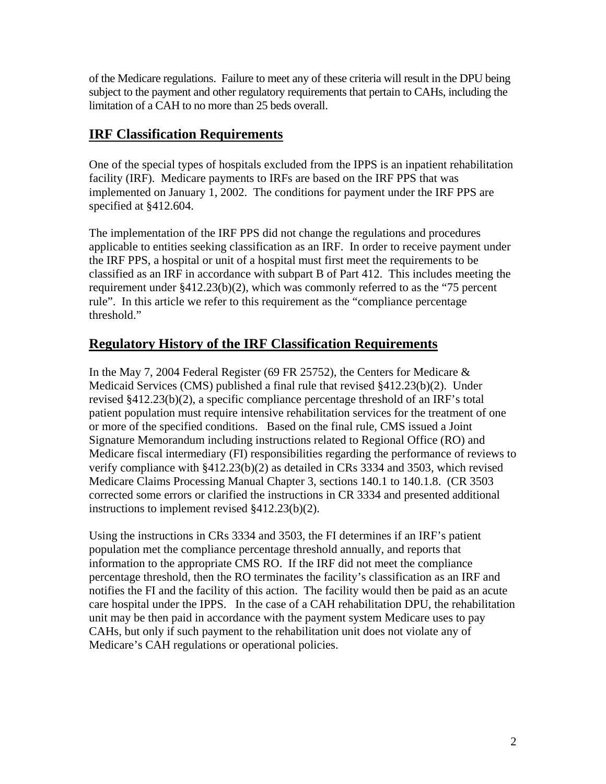of the Medicare regulations. Failure to meet any of these criteria will result in the DPU being subject to the payment and other regulatory requirements that pertain to CAHs, including the limitation of a CAH to no more than 25 beds overall.

### **IRF Classification Requirements**

One of the special types of hospitals excluded from the IPPS is an inpatient rehabilitation facility (IRF). Medicare payments to IRFs are based on the IRF PPS that was implemented on January 1, 2002. The conditions for payment under the IRF PPS are specified at §412.604.

The implementation of the IRF PPS did not change the regulations and procedures applicable to entities seeking classification as an IRF. In order to receive payment under the IRF PPS, a hospital or unit of a hospital must first meet the requirements to be classified as an IRF in accordance with subpart B of Part 412. This includes meeting the requirement under §412.23(b)(2), which was commonly referred to as the "75 percent rule". In this article we refer to this requirement as the "compliance percentage threshold."

### **Regulatory History of the IRF Classification Requirements**

In the May 7, 2004 Federal Register (69 FR 25752), the Centers for Medicare & Medicaid Services (CMS) published a final rule that revised §412.23(b)(2). Under revised §412.23(b)(2), a specific compliance percentage threshold of an IRF's total patient population must require intensive rehabilitation services for the treatment of one or more of the specified conditions. Based on the final rule, CMS issued a Joint Signature Memorandum including instructions related to Regional Office (RO) and Medicare fiscal intermediary (FI) responsibilities regarding the performance of reviews to verify compliance with §412.23(b)(2) as detailed in CRs 3334 and 3503, which revised Medicare Claims Processing Manual Chapter 3, sections 140.1 to 140.1.8. (CR 3503 corrected some errors or clarified the instructions in CR 3334 and presented additional instructions to implement revised §412.23(b)(2).

Using the instructions in CRs 3334 and 3503, the FI determines if an IRF's patient population met the compliance percentage threshold annually, and reports that information to the appropriate CMS RO. If the IRF did not meet the compliance percentage threshold, then the RO terminates the facility's classification as an IRF and notifies the FI and the facility of this action. The facility would then be paid as an acute care hospital under the IPPS. In the case of a CAH rehabilitation DPU, the rehabilitation unit may be then paid in accordance with the payment system Medicare uses to pay CAHs, but only if such payment to the rehabilitation unit does not violate any of Medicare's CAH regulations or operational policies.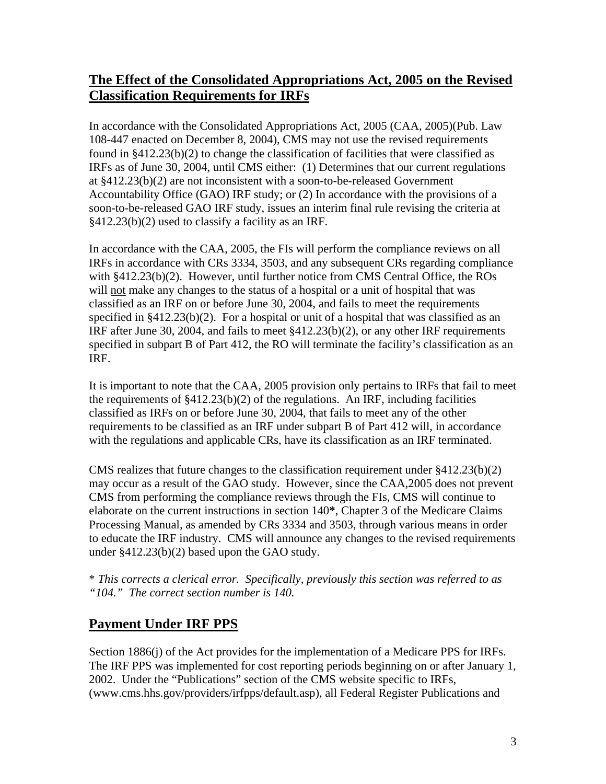### **The Effect of the Consolidated Appropriations Act, 2005 on the Revised Classification Requirements for IRFs**

In accordance with the Consolidated Appropriations Act, 2005 (CAA, 2005)(Pub. Law 108-447 enacted on December 8, 2004), CMS may not use the revised requirements found in §412.23(b)(2) to change the classification of facilities that were classified as IRFs as of June 30, 2004, until CMS either: (1) Determines that our current regulations at §412.23(b)(2) are not inconsistent with a soon-to-be-released Government Accountability Office (GAO) IRF study; or (2) In accordance with the provisions of a soon-to-be-released GAO IRF study, issues an interim final rule revising the criteria at §412.23(b)(2) used to classify a facility as an IRF.

In accordance with the CAA, 2005, the FIs will perform the compliance reviews on all IRFs in accordance with CRs 3334, 3503, and any subsequent CRs regarding compliance with §412.23(b)(2). However, until further notice from CMS Central Office, the ROs will not make any changes to the status of a hospital or a unit of hospital that was classified as an IRF on or before June 30, 2004, and fails to meet the requirements specified in §412.23(b)(2). For a hospital or unit of a hospital that was classified as an IRF after June 30, 2004, and fails to meet §412.23(b)(2), or any other IRF requirements specified in subpart B of Part 412, the RO will terminate the facility's classification as an IRF.

It is important to note that the CAA, 2005 provision only pertains to IRFs that fail to meet the requirements of §412.23(b)(2) of the regulations. An IRF, including facilities classified as IRFs on or before June 30, 2004, that fails to meet any of the other requirements to be classified as an IRF under subpart B of Part 412 will, in accordance with the regulations and applicable CRs, have its classification as an IRF terminated.

CMS realizes that future changes to the classification requirement under §412.23(b)(2) may occur as a result of the GAO study. However, since the CAA,2005 does not prevent CMS from performing the compliance reviews through the FIs, CMS will continue to elaborate on the current instructions in section 140**\***, Chapter 3 of the Medicare Claims Processing Manual, as amended by CRs 3334 and 3503, through various means in order to educate the IRF industry. CMS will announce any changes to the revised requirements under §412.23(b)(2) based upon the GAO study.

\* *This corrects a clerical error. Specifically, previously this section was referred to as "104." The correct section number is 140.* 

### **Payment Under IRF PPS**

Section 1886(j) of the Act provides for the implementation of a Medicare PPS for IRFs. The IRF PPS was implemented for cost reporting periods beginning on or after January 1, 2002. Under the "Publications" section of the CMS website specific to IRFs, (www.cms.hhs.gov/providers/irfpps/default.asp), all Federal Register Publications and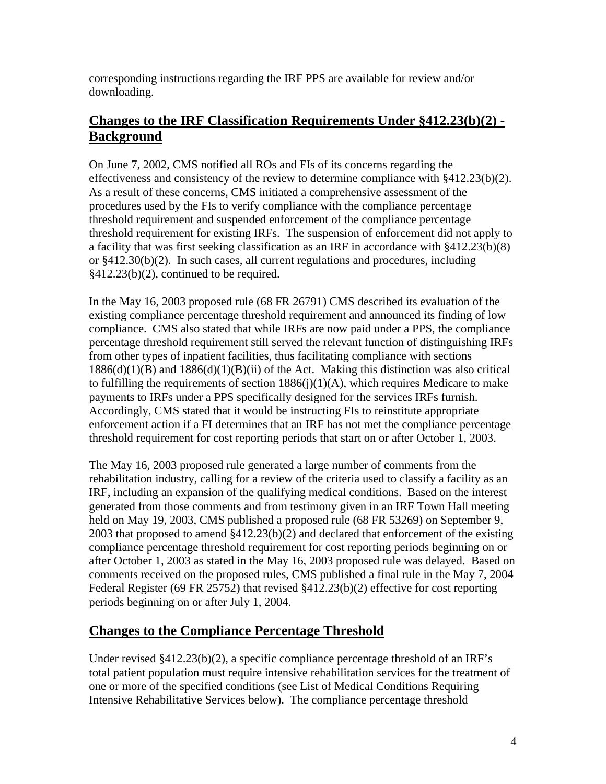corresponding instructions regarding the IRF PPS are available for review and/or downloading.

### **Changes to the IRF Classification Requirements Under §412.23(b)(2) - Background**

On June 7, 2002, CMS notified all ROs and FIs of its concerns regarding the effectiveness and consistency of the review to determine compliance with  $§412.23(b)(2)$ . As a result of these concerns, CMS initiated a comprehensive assessment of the procedures used by the FIs to verify compliance with the compliance percentage threshold requirement and suspended enforcement of the compliance percentage threshold requirement for existing IRFs. The suspension of enforcement did not apply to a facility that was first seeking classification as an IRF in accordance with §412.23(b)(8) or §412.30(b)(2). In such cases, all current regulations and procedures, including §412.23(b)(2), continued to be required.

In the May 16, 2003 proposed rule (68 FR 26791) CMS described its evaluation of the existing compliance percentage threshold requirement and announced its finding of low compliance. CMS also stated that while IRFs are now paid under a PPS, the compliance percentage threshold requirement still served the relevant function of distinguishing IRFs from other types of inpatient facilities, thus facilitating compliance with sections  $1886(d)(1)(B)$  and  $1886(d)(1)(B)(ii)$  of the Act. Making this distinction was also critical to fulfilling the requirements of section  $1886(j)(1)(A)$ , which requires Medicare to make payments to IRFs under a PPS specifically designed for the services IRFs furnish. Accordingly, CMS stated that it would be instructing FIs to reinstitute appropriate enforcement action if a FI determines that an IRF has not met the compliance percentage threshold requirement for cost reporting periods that start on or after October 1, 2003.

The May 16, 2003 proposed rule generated a large number of comments from the rehabilitation industry, calling for a review of the criteria used to classify a facility as an IRF, including an expansion of the qualifying medical conditions. Based on the interest generated from those comments and from testimony given in an IRF Town Hall meeting held on May 19, 2003, CMS published a proposed rule (68 FR 53269) on September 9, 2003 that proposed to amend §412.23(b)(2) and declared that enforcement of the existing compliance percentage threshold requirement for cost reporting periods beginning on or after October 1, 2003 as stated in the May 16, 2003 proposed rule was delayed. Based on comments received on the proposed rules, CMS published a final rule in the May 7, 2004 Federal Register (69 FR 25752) that revised §412.23(b)(2) effective for cost reporting periods beginning on or after July 1, 2004.

### **Changes to the Compliance Percentage Threshold**

Under revised §412.23(b)(2), a specific compliance percentage threshold of an IRF's total patient population must require intensive rehabilitation services for the treatment of one or more of the specified conditions (see List of Medical Conditions Requiring Intensive Rehabilitative Services below). The compliance percentage threshold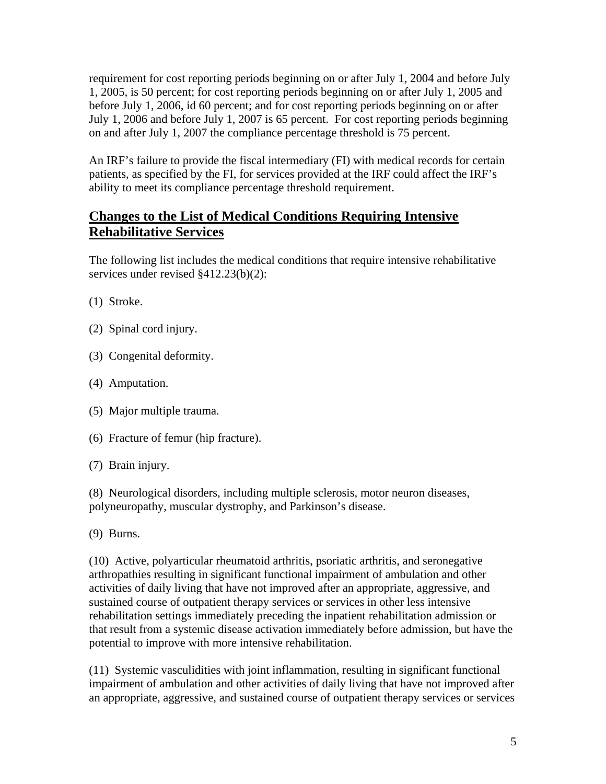requirement for cost reporting periods beginning on or after July 1, 2004 and before July 1, 2005, is 50 percent; for cost reporting periods beginning on or after July 1, 2005 and before July 1, 2006, id 60 percent; and for cost reporting periods beginning on or after July 1, 2006 and before July 1, 2007 is 65 percent. For cost reporting periods beginning on and after July 1, 2007 the compliance percentage threshold is 75 percent.

An IRF's failure to provide the fiscal intermediary (FI) with medical records for certain patients, as specified by the FI, for services provided at the IRF could affect the IRF's ability to meet its compliance percentage threshold requirement.

### **Changes to the List of Medical Conditions Requiring Intensive Rehabilitative Services**

The following list includes the medical conditions that require intensive rehabilitative services under revised §412.23(b)(2):

- (1) Stroke.
- (2) Spinal cord injury.
- (3) Congenital deformity.
- (4) Amputation.
- (5) Major multiple trauma.
- (6) Fracture of femur (hip fracture).
- (7) Brain injury.

(8) Neurological disorders, including multiple sclerosis, motor neuron diseases, polyneuropathy, muscular dystrophy, and Parkinson's disease.

(9) Burns.

(10) Active, polyarticular rheumatoid arthritis, psoriatic arthritis, and seronegative arthropathies resulting in significant functional impairment of ambulation and other activities of daily living that have not improved after an appropriate, aggressive, and sustained course of outpatient therapy services or services in other less intensive rehabilitation settings immediately preceding the inpatient rehabilitation admission or that result from a systemic disease activation immediately before admission, but have the potential to improve with more intensive rehabilitation.

(11) Systemic vasculidities with joint inflammation, resulting in significant functional impairment of ambulation and other activities of daily living that have not improved after an appropriate, aggressive, and sustained course of outpatient therapy services or services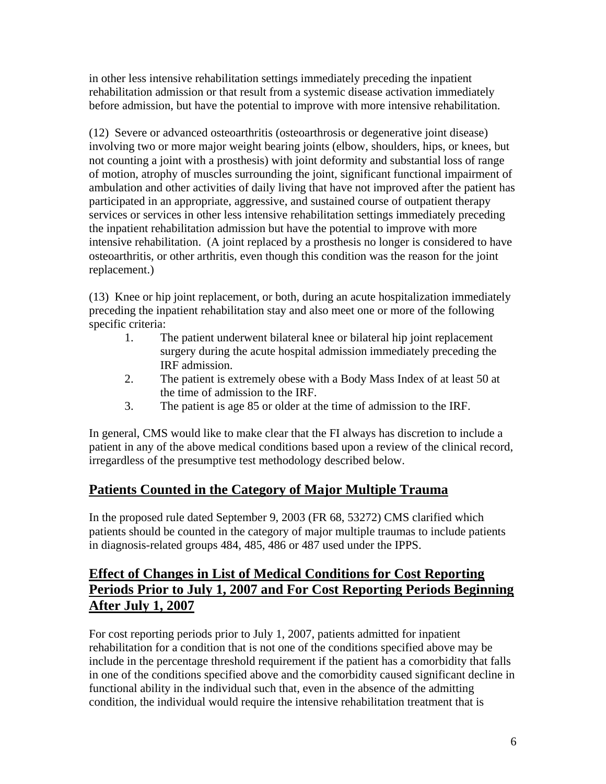in other less intensive rehabilitation settings immediately preceding the inpatient rehabilitation admission or that result from a systemic disease activation immediately before admission, but have the potential to improve with more intensive rehabilitation.

(12) Severe or advanced osteoarthritis (osteoarthrosis or degenerative joint disease) involving two or more major weight bearing joints (elbow, shoulders, hips, or knees, but not counting a joint with a prosthesis) with joint deformity and substantial loss of range of motion, atrophy of muscles surrounding the joint, significant functional impairment of ambulation and other activities of daily living that have not improved after the patient has participated in an appropriate, aggressive, and sustained course of outpatient therapy services or services in other less intensive rehabilitation settings immediately preceding the inpatient rehabilitation admission but have the potential to improve with more intensive rehabilitation. (A joint replaced by a prosthesis no longer is considered to have osteoarthritis, or other arthritis, even though this condition was the reason for the joint replacement.)

(13) Knee or hip joint replacement, or both, during an acute hospitalization immediately preceding the inpatient rehabilitation stay and also meet one or more of the following specific criteria:

- 1. The patient underwent bilateral knee or bilateral hip joint replacement surgery during the acute hospital admission immediately preceding the IRF admission.
- 2. The patient is extremely obese with a Body Mass Index of at least 50 at the time of admission to the IRF.
- 3. The patient is age 85 or older at the time of admission to the IRF.

In general, CMS would like to make clear that the FI always has discretion to include a patient in any of the above medical conditions based upon a review of the clinical record, irregardless of the presumptive test methodology described below.

### **Patients Counted in the Category of Major Multiple Trauma**

In the proposed rule dated September 9, 2003 (FR 68, 53272) CMS clarified which patients should be counted in the category of major multiple traumas to include patients in diagnosis-related groups 484, 485, 486 or 487 used under the IPPS.

### **Effect of Changes in List of Medical Conditions for Cost Reporting Periods Prior to July 1, 2007 and For Cost Reporting Periods Beginning After July 1, 2007**

For cost reporting periods prior to July 1, 2007, patients admitted for inpatient rehabilitation for a condition that is not one of the conditions specified above may be include in the percentage threshold requirement if the patient has a comorbidity that falls in one of the conditions specified above and the comorbidity caused significant decline in functional ability in the individual such that, even in the absence of the admitting condition, the individual would require the intensive rehabilitation treatment that is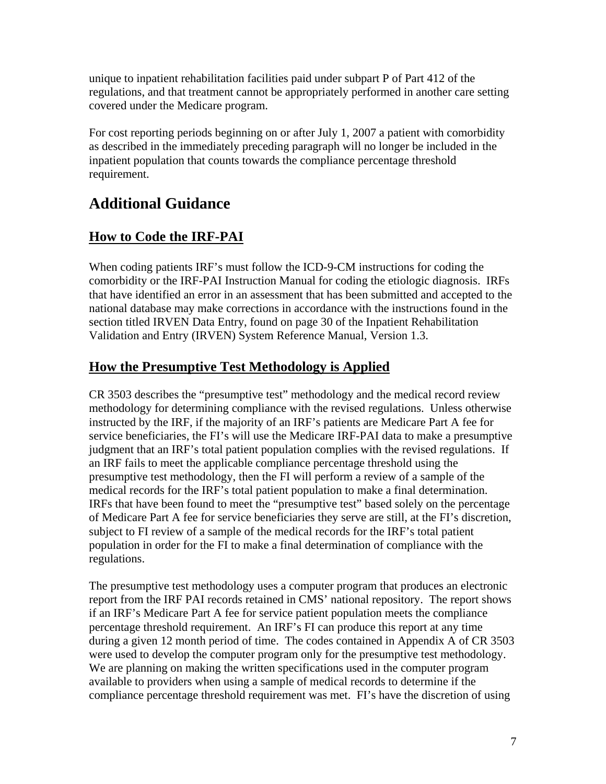unique to inpatient rehabilitation facilities paid under subpart P of Part 412 of the regulations, and that treatment cannot be appropriately performed in another care setting covered under the Medicare program.

For cost reporting periods beginning on or after July 1, 2007 a patient with comorbidity as described in the immediately preceding paragraph will no longer be included in the inpatient population that counts towards the compliance percentage threshold requirement.

# **Additional Guidance**

# **How to Code the IRF-PAI**

When coding patients IRF's must follow the ICD-9-CM instructions for coding the comorbidity or the IRF-PAI Instruction Manual for coding the etiologic diagnosis. IRFs that have identified an error in an assessment that has been submitted and accepted to the national database may make corrections in accordance with the instructions found in the section titled IRVEN Data Entry, found on page 30 of the Inpatient Rehabilitation Validation and Entry (IRVEN) System Reference Manual, Version 1.3.

### **How the Presumptive Test Methodology is Applied**

CR 3503 describes the "presumptive test" methodology and the medical record review methodology for determining compliance with the revised regulations. Unless otherwise instructed by the IRF, if the majority of an IRF's patients are Medicare Part A fee for service beneficiaries, the FI's will use the Medicare IRF-PAI data to make a presumptive judgment that an IRF's total patient population complies with the revised regulations. If an IRF fails to meet the applicable compliance percentage threshold using the presumptive test methodology, then the FI will perform a review of a sample of the medical records for the IRF's total patient population to make a final determination. IRFs that have been found to meet the "presumptive test" based solely on the percentage of Medicare Part A fee for service beneficiaries they serve are still, at the FI's discretion, subject to FI review of a sample of the medical records for the IRF's total patient population in order for the FI to make a final determination of compliance with the regulations.

The presumptive test methodology uses a computer program that produces an electronic report from the IRF PAI records retained in CMS' national repository. The report shows if an IRF's Medicare Part A fee for service patient population meets the compliance percentage threshold requirement. An IRF's FI can produce this report at any time during a given 12 month period of time. The codes contained in Appendix A of CR 3503 were used to develop the computer program only for the presumptive test methodology. We are planning on making the written specifications used in the computer program available to providers when using a sample of medical records to determine if the compliance percentage threshold requirement was met. FI's have the discretion of using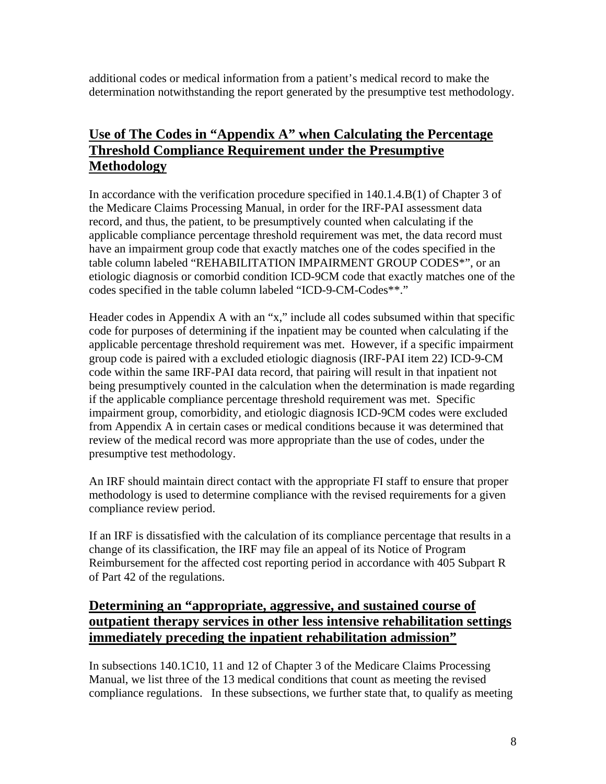additional codes or medical information from a patient's medical record to make the determination notwithstanding the report generated by the presumptive test methodology.

### **Use of The Codes in "Appendix A" when Calculating the Percentage Threshold Compliance Requirement under the Presumptive Methodology**

In accordance with the verification procedure specified in 140.1.4.B(1) of Chapter 3 of the Medicare Claims Processing Manual, in order for the IRF-PAI assessment data record, and thus, the patient, to be presumptively counted when calculating if the applicable compliance percentage threshold requirement was met, the data record must have an impairment group code that exactly matches one of the codes specified in the table column labeled "REHABILITATION IMPAIRMENT GROUP CODES\*", or an etiologic diagnosis or comorbid condition ICD-9CM code that exactly matches one of the codes specified in the table column labeled "ICD-9-CM-Codes\*\*."

Header codes in Appendix A with an "x," include all codes subsumed within that specific code for purposes of determining if the inpatient may be counted when calculating if the applicable percentage threshold requirement was met. However, if a specific impairment group code is paired with a excluded etiologic diagnosis (IRF-PAI item 22) ICD-9-CM code within the same IRF-PAI data record, that pairing will result in that inpatient not being presumptively counted in the calculation when the determination is made regarding if the applicable compliance percentage threshold requirement was met. Specific impairment group, comorbidity, and etiologic diagnosis ICD-9CM codes were excluded from Appendix A in certain cases or medical conditions because it was determined that review of the medical record was more appropriate than the use of codes, under the presumptive test methodology.

An IRF should maintain direct contact with the appropriate FI staff to ensure that proper methodology is used to determine compliance with the revised requirements for a given compliance review period.

If an IRF is dissatisfied with the calculation of its compliance percentage that results in a change of its classification, the IRF may file an appeal of its Notice of Program Reimbursement for the affected cost reporting period in accordance with 405 Subpart R of Part 42 of the regulations.

### **Determining an "appropriate, aggressive, and sustained course of outpatient therapy services in other less intensive rehabilitation settings immediately preceding the inpatient rehabilitation admission"**

In subsections 140.1C10, 11 and 12 of Chapter 3 of the Medicare Claims Processing Manual, we list three of the 13 medical conditions that count as meeting the revised compliance regulations. In these subsections, we further state that, to qualify as meeting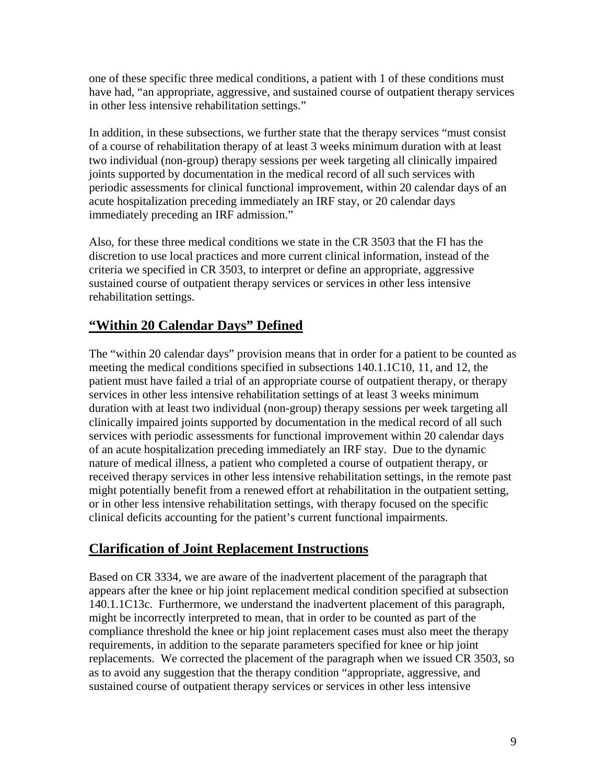one of these specific three medical conditions, a patient with 1 of these conditions must have had, "an appropriate, aggressive, and sustained course of outpatient therapy services in other less intensive rehabilitation settings."

In addition, in these subsections, we further state that the therapy services "must consist of a course of rehabilitation therapy of at least 3 weeks minimum duration with at least two individual (non-group) therapy sessions per week targeting all clinically impaired joints supported by documentation in the medical record of all such services with periodic assessments for clinical functional improvement, within 20 calendar days of an acute hospitalization preceding immediately an IRF stay, or 20 calendar days immediately preceding an IRF admission."

Also, for these three medical conditions we state in the CR 3503 that the FI has the discretion to use local practices and more current clinical information, instead of the criteria we specified in CR 3503, to interpret or define an appropriate, aggressive sustained course of outpatient therapy services or services in other less intensive rehabilitation settings.

# **"Within 20 Calendar Days" Defined**

The "within 20 calendar days" provision means that in order for a patient to be counted as meeting the medical conditions specified in subsections 140.1.1C10, 11, and 12, the patient must have failed a trial of an appropriate course of outpatient therapy, or therapy services in other less intensive rehabilitation settings of at least 3 weeks minimum duration with at least two individual (non-group) therapy sessions per week targeting all clinically impaired joints supported by documentation in the medical record of all such services with periodic assessments for functional improvement within 20 calendar days of an acute hospitalization preceding immediately an IRF stay. Due to the dynamic nature of medical illness, a patient who completed a course of outpatient therapy, or received therapy services in other less intensive rehabilitation settings, in the remote past might potentially benefit from a renewed effort at rehabilitation in the outpatient setting, or in other less intensive rehabilitation settings, with therapy focused on the specific clinical deficits accounting for the patient's current functional impairments.

### **Clarification of Joint Replacement Instructions**

Based on CR 3334, we are aware of the inadvertent placement of the paragraph that appears after the knee or hip joint replacement medical condition specified at subsection 140.1.1C13c. Furthermore, we understand the inadvertent placement of this paragraph, might be incorrectly interpreted to mean, that in order to be counted as part of the compliance threshold the knee or hip joint replacement cases must also meet the therapy requirements, in addition to the separate parameters specified for knee or hip joint replacements. We corrected the placement of the paragraph when we issued CR 3503, so as to avoid any suggestion that the therapy condition "appropriate, aggressive, and sustained course of outpatient therapy services or services in other less intensive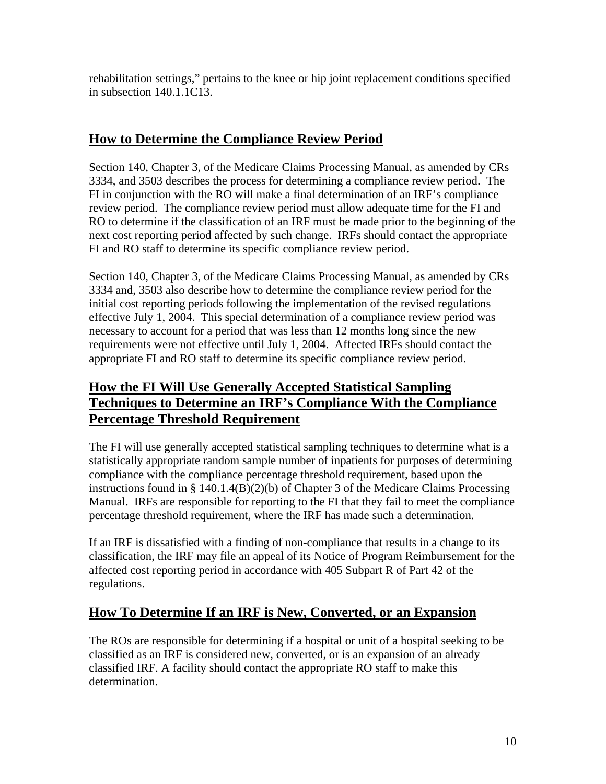rehabilitation settings," pertains to the knee or hip joint replacement conditions specified in subsection 140.1.1C13.

### **How to Determine the Compliance Review Period**

Section 140, Chapter 3, of the Medicare Claims Processing Manual, as amended by CRs 3334, and 3503 describes the process for determining a compliance review period. The FI in conjunction with the RO will make a final determination of an IRF's compliance review period. The compliance review period must allow adequate time for the FI and RO to determine if the classification of an IRF must be made prior to the beginning of the next cost reporting period affected by such change. IRFs should contact the appropriate FI and RO staff to determine its specific compliance review period.

Section 140, Chapter 3, of the Medicare Claims Processing Manual, as amended by CRs 3334 and, 3503 also describe how to determine the compliance review period for the initial cost reporting periods following the implementation of the revised regulations effective July 1, 2004. This special determination of a compliance review period was necessary to account for a period that was less than 12 months long since the new requirements were not effective until July 1, 2004. Affected IRFs should contact the appropriate FI and RO staff to determine its specific compliance review period.

# **How the FI Will Use Generally Accepted Statistical Sampling Techniques to Determine an IRF's Compliance With the Compliance Percentage Threshold Requirement**

The FI will use generally accepted statistical sampling techniques to determine what is a statistically appropriate random sample number of inpatients for purposes of determining compliance with the compliance percentage threshold requirement, based upon the instructions found in § 140.1.4(B)(2)(b) of Chapter 3 of the Medicare Claims Processing Manual. IRFs are responsible for reporting to the FI that they fail to meet the compliance percentage threshold requirement, where the IRF has made such a determination.

If an IRF is dissatisfied with a finding of non-compliance that results in a change to its classification, the IRF may file an appeal of its Notice of Program Reimbursement for the affected cost reporting period in accordance with 405 Subpart R of Part 42 of the regulations.

### **How To Determine If an IRF is New, Converted, or an Expansion**

The ROs are responsible for determining if a hospital or unit of a hospital seeking to be classified as an IRF is considered new, converted, or is an expansion of an already classified IRF. A facility should contact the appropriate RO staff to make this determination.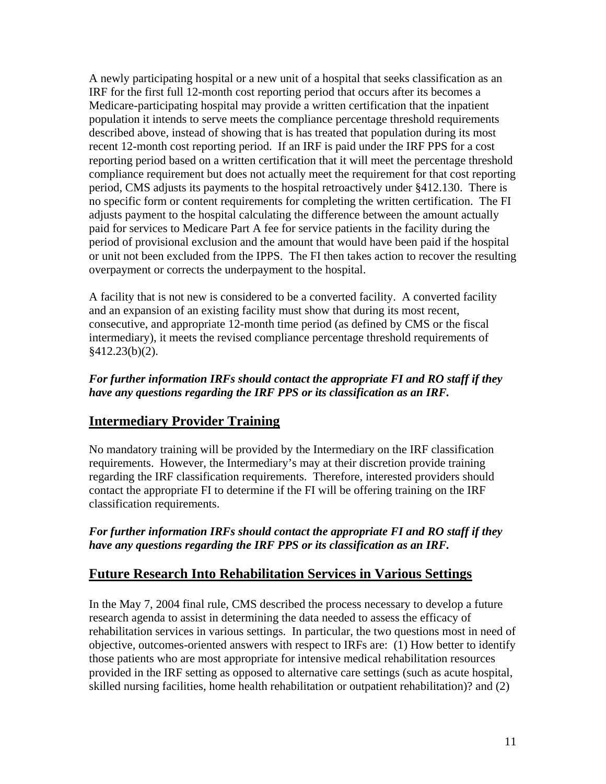A newly participating hospital or a new unit of a hospital that seeks classification as an IRF for the first full 12-month cost reporting period that occurs after its becomes a Medicare-participating hospital may provide a written certification that the inpatient population it intends to serve meets the compliance percentage threshold requirements described above, instead of showing that is has treated that population during its most recent 12-month cost reporting period. If an IRF is paid under the IRF PPS for a cost reporting period based on a written certification that it will meet the percentage threshold compliance requirement but does not actually meet the requirement for that cost reporting period, CMS adjusts its payments to the hospital retroactively under §412.130. There is no specific form or content requirements for completing the written certification. The FI adjusts payment to the hospital calculating the difference between the amount actually paid for services to Medicare Part A fee for service patients in the facility during the period of provisional exclusion and the amount that would have been paid if the hospital or unit not been excluded from the IPPS. The FI then takes action to recover the resulting overpayment or corrects the underpayment to the hospital.

A facility that is not new is considered to be a converted facility. A converted facility and an expansion of an existing facility must show that during its most recent, consecutive, and appropriate 12-month time period (as defined by CMS or the fiscal intermediary), it meets the revised compliance percentage threshold requirements of  $§412.23(b)(2).$ 

#### *For further information IRFs should contact the appropriate FI and RO staff if they have any questions regarding the IRF PPS or its classification as an IRF.*

### **Intermediary Provider Training**

No mandatory training will be provided by the Intermediary on the IRF classification requirements. However, the Intermediary's may at their discretion provide training regarding the IRF classification requirements. Therefore, interested providers should contact the appropriate FI to determine if the FI will be offering training on the IRF classification requirements.

*For further information IRFs should contact the appropriate FI and RO staff if they have any questions regarding the IRF PPS or its classification as an IRF.*

### **Future Research Into Rehabilitation Services in Various Settings**

In the May 7, 2004 final rule, CMS described the process necessary to develop a future research agenda to assist in determining the data needed to assess the efficacy of rehabilitation services in various settings. In particular, the two questions most in need of objective, outcomes-oriented answers with respect to IRFs are: (1) How better to identify those patients who are most appropriate for intensive medical rehabilitation resources provided in the IRF setting as opposed to alternative care settings (such as acute hospital, skilled nursing facilities, home health rehabilitation or outpatient rehabilitation)? and (2)